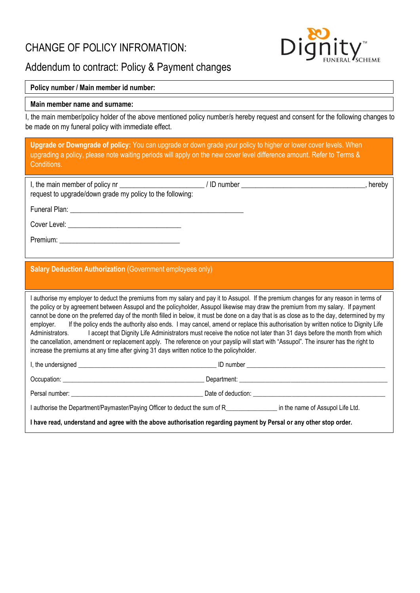## CHANGE OF POLICY INFROMATION:



# Addendum to contract: Policy & Payment changes

## **Policy number / Main member id number:**

### **Main member name and surname:**

I, the main member/policy holder of the above mentioned policy number/s hereby request and consent for the following changes to be made on my funeral policy with immediate effect.

| <b>Upgrade or Downgrade of policy:</b> You can upgrade or down grade your policy to higher or lower cover levels. When<br>upgrading a policy, please note waiting periods will apply on the new cover level difference amount. Refer to Terms &<br>Conditions.                                                                                                                                                                                                                                                                                                                                                                                                                                                                                                                                                                                                                                                                                                 |  |  |  |  |
|----------------------------------------------------------------------------------------------------------------------------------------------------------------------------------------------------------------------------------------------------------------------------------------------------------------------------------------------------------------------------------------------------------------------------------------------------------------------------------------------------------------------------------------------------------------------------------------------------------------------------------------------------------------------------------------------------------------------------------------------------------------------------------------------------------------------------------------------------------------------------------------------------------------------------------------------------------------|--|--|--|--|
| I, the main member of policy nr _________________________/ ID number ___________________________________, hereby<br>request to upgrade/down grade my policy to the following:                                                                                                                                                                                                                                                                                                                                                                                                                                                                                                                                                                                                                                                                                                                                                                                  |  |  |  |  |
|                                                                                                                                                                                                                                                                                                                                                                                                                                                                                                                                                                                                                                                                                                                                                                                                                                                                                                                                                                |  |  |  |  |
|                                                                                                                                                                                                                                                                                                                                                                                                                                                                                                                                                                                                                                                                                                                                                                                                                                                                                                                                                                |  |  |  |  |
|                                                                                                                                                                                                                                                                                                                                                                                                                                                                                                                                                                                                                                                                                                                                                                                                                                                                                                                                                                |  |  |  |  |
| <b>Salary Deduction Authorization (Government employees only)</b>                                                                                                                                                                                                                                                                                                                                                                                                                                                                                                                                                                                                                                                                                                                                                                                                                                                                                              |  |  |  |  |
| I authorise my employer to deduct the premiums from my salary and pay it to Assupol. If the premium changes for any reason in terms of<br>the policy or by agreement between Assupol and the policyholder, Assupol likewise may draw the premium from my salary. If payment<br>cannot be done on the preferred day of the month filled in below, it must be done on a day that is as close as to the day, determined by my<br>If the policy ends the authority also ends. I may cancel, amend or replace this authorisation by written notice to Dignity Life<br>employer.<br>I accept that Dignity Life Administrators must receive the notice not later than 31 days before the month from which<br>Administrators.<br>the cancellation, amendment or replacement apply. The reference on your payslip will start with "Assupol". The insurer has the right to<br>increase the premiums at any time after giving 31 days written notice to the policyholder. |  |  |  |  |
|                                                                                                                                                                                                                                                                                                                                                                                                                                                                                                                                                                                                                                                                                                                                                                                                                                                                                                                                                                |  |  |  |  |
|                                                                                                                                                                                                                                                                                                                                                                                                                                                                                                                                                                                                                                                                                                                                                                                                                                                                                                                                                                |  |  |  |  |
|                                                                                                                                                                                                                                                                                                                                                                                                                                                                                                                                                                                                                                                                                                                                                                                                                                                                                                                                                                |  |  |  |  |
| I authorise the Department/Paymaster/Paying Officer to deduct the sum of R_______________________ in the name of Assupol Life Ltd.                                                                                                                                                                                                                                                                                                                                                                                                                                                                                                                                                                                                                                                                                                                                                                                                                             |  |  |  |  |
| I have read, understand and agree with the above authorisation regarding payment by Persal or any other stop order.                                                                                                                                                                                                                                                                                                                                                                                                                                                                                                                                                                                                                                                                                                                                                                                                                                            |  |  |  |  |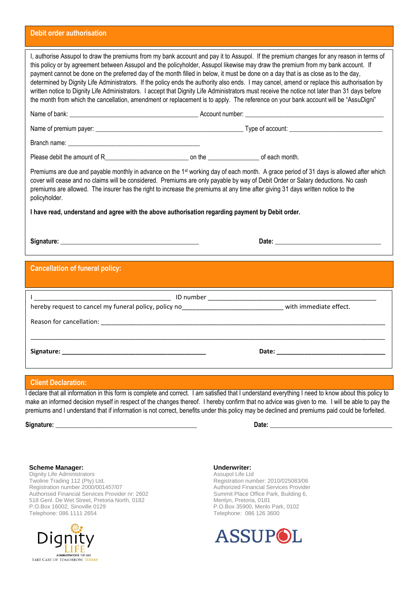#### **Debit order authorisation**

| I, authorise Assupol to draw the premiums from my bank account and pay it to Assupol. If the premium changes for any reason in terms of<br>this policy or by agreement between Assupol and the policyholder, Assupol likewise may draw the premium from my bank account. If<br>payment cannot be done on the preferred day of the month filled in below, it must be done on a day that is as close as to the day,<br>determined by Dignity Life Administrators. If the policy ends the authority also ends. I may cancel, amend or replace this authorisation by<br>written notice to Dignity Life Administrators. I accept that Dignity Life Administrators must receive the notice not later than 31 days before<br>the month from which the cancellation, amendment or replacement is to apply. The reference on your bank account will be "AssuDigni" |  |  |  |  |
|-----------------------------------------------------------------------------------------------------------------------------------------------------------------------------------------------------------------------------------------------------------------------------------------------------------------------------------------------------------------------------------------------------------------------------------------------------------------------------------------------------------------------------------------------------------------------------------------------------------------------------------------------------------------------------------------------------------------------------------------------------------------------------------------------------------------------------------------------------------|--|--|--|--|
|                                                                                                                                                                                                                                                                                                                                                                                                                                                                                                                                                                                                                                                                                                                                                                                                                                                           |  |  |  |  |
|                                                                                                                                                                                                                                                                                                                                                                                                                                                                                                                                                                                                                                                                                                                                                                                                                                                           |  |  |  |  |
|                                                                                                                                                                                                                                                                                                                                                                                                                                                                                                                                                                                                                                                                                                                                                                                                                                                           |  |  |  |  |
| Please debit the amount of Recognization of the contract of each month.                                                                                                                                                                                                                                                                                                                                                                                                                                                                                                                                                                                                                                                                                                                                                                                   |  |  |  |  |
| Premiums are due and payable monthly in advance on the 1 <sup>st</sup> working day of each month. A grace period of 31 days is allowed after which<br>cover will cease and no claims will be considered. Premiums are only payable by way of Debit Order or Salary deductions. No cash<br>premiums are allowed. The insurer has the right to increase the premiums at any time after giving 31 days written notice to the<br>policyholder.                                                                                                                                                                                                                                                                                                                                                                                                                |  |  |  |  |
| I have read, understand and agree with the above authorisation regarding payment by Debit order.                                                                                                                                                                                                                                                                                                                                                                                                                                                                                                                                                                                                                                                                                                                                                          |  |  |  |  |
|                                                                                                                                                                                                                                                                                                                                                                                                                                                                                                                                                                                                                                                                                                                                                                                                                                                           |  |  |  |  |
|                                                                                                                                                                                                                                                                                                                                                                                                                                                                                                                                                                                                                                                                                                                                                                                                                                                           |  |  |  |  |
| <b>Cancellation of funeral policy:</b>                                                                                                                                                                                                                                                                                                                                                                                                                                                                                                                                                                                                                                                                                                                                                                                                                    |  |  |  |  |
|                                                                                                                                                                                                                                                                                                                                                                                                                                                                                                                                                                                                                                                                                                                                                                                                                                                           |  |  |  |  |
| hereby request to cancel my funeral policy, policy no<br><u> Letter Letter Letter Letter Letter Mith immediate</u> effect.                                                                                                                                                                                                                                                                                                                                                                                                                                                                                                                                                                                                                                                                                                                                |  |  |  |  |
|                                                                                                                                                                                                                                                                                                                                                                                                                                                                                                                                                                                                                                                                                                                                                                                                                                                           |  |  |  |  |
|                                                                                                                                                                                                                                                                                                                                                                                                                                                                                                                                                                                                                                                                                                                                                                                                                                                           |  |  |  |  |
|                                                                                                                                                                                                                                                                                                                                                                                                                                                                                                                                                                                                                                                                                                                                                                                                                                                           |  |  |  |  |
| <b>Client Declaration:</b>                                                                                                                                                                                                                                                                                                                                                                                                                                                                                                                                                                                                                                                                                                                                                                                                                                |  |  |  |  |

I declare that all information in this form is complete and correct. I am satisfied that I understand everything I need to know about this policy to make an informed decision myself in respect of the changes thereof. I hereby confirm that no advice was given to me. I will be able to pay the premiums and I understand that if information is not correct, benefits under this policy may be declined and premiums paid could be forfeited.

**Signature: \_\_\_\_\_\_\_\_\_\_\_\_\_\_\_\_\_\_\_\_\_\_\_\_\_\_\_\_\_\_\_\_\_\_\_\_\_\_\_\_\_\_\_\_ Date: \_\_\_\_\_\_\_\_\_\_\_\_\_\_\_\_\_\_\_\_\_\_\_\_\_\_\_\_\_\_\_\_\_\_\_\_\_\_**

**Scheme Manager:**

Dignity Life Administrators Twoline Trading 112 (Pty) Ltd, Registration number 2000/001457/07 Authorised Financial Services Provider nr: 2602 518 Genl. De Wet Street, Pretoria North, 0182 P.O.Box 16002, Sinoville 0129 Telephone: 086 1111 2654



#### **Underwriter:**

Assupol Life Ltd Registration number: 2010/025083/06 Authorized Financial Services Provider Summit Place Office Park, Building 6, Menlyn, Pretoria, 0181 P.O.Box 35900, Menlo Park, 0102 Telephone: 086 126 3600